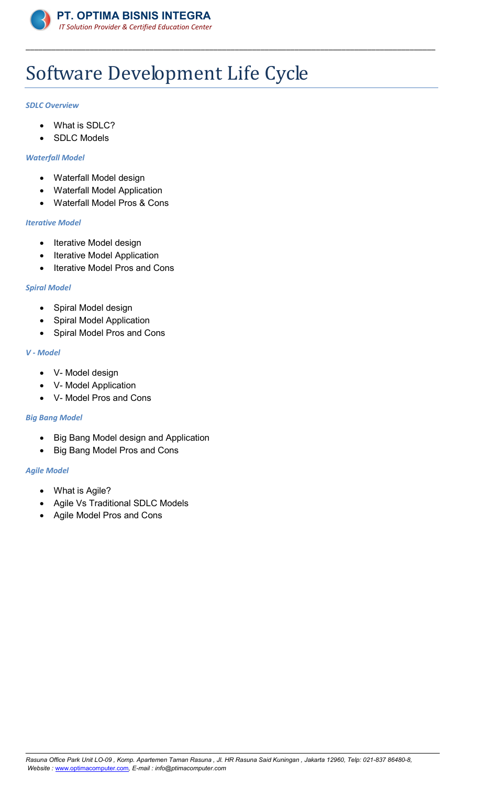

# Software Development Life Cycle

\_\_\_\_\_\_\_\_\_\_\_\_\_\_\_\_\_\_\_\_\_\_\_\_\_\_\_\_\_\_\_\_\_\_\_\_\_\_\_\_\_\_\_\_\_\_\_\_\_\_\_\_\_\_\_\_\_\_\_\_\_\_\_\_\_\_\_\_\_\_\_\_\_\_\_\_\_\_\_\_\_\_\_\_\_\_\_\_\_\_\_\_\_\_\_\_

#### *SDLC Overview*

- What is SDLC?
- SDLC Models

#### *Waterfall Model*

- Waterfall Model design
- Waterfall Model Application
- Waterfall Model Pros & Cons

#### *Iterative Model*

- Iterative Model design
- Iterative Model Application
- Iterative Model Pros and Cons

### *Spiral Model*

- Spiral Model design
- Spiral Model Application
- Spiral Model Pros and Cons

#### *V - Model*

- V- Model design
- V- Model Application
- V- Model Pros and Cons

# *Big Bang Model*

- Big Bang Model design and Application
- Big Bang Model Pros and Cons

# *Agile Model*

- What is Agile?
- Agile Vs Traditional SDLC Models
- Agile Model Pros and Cons